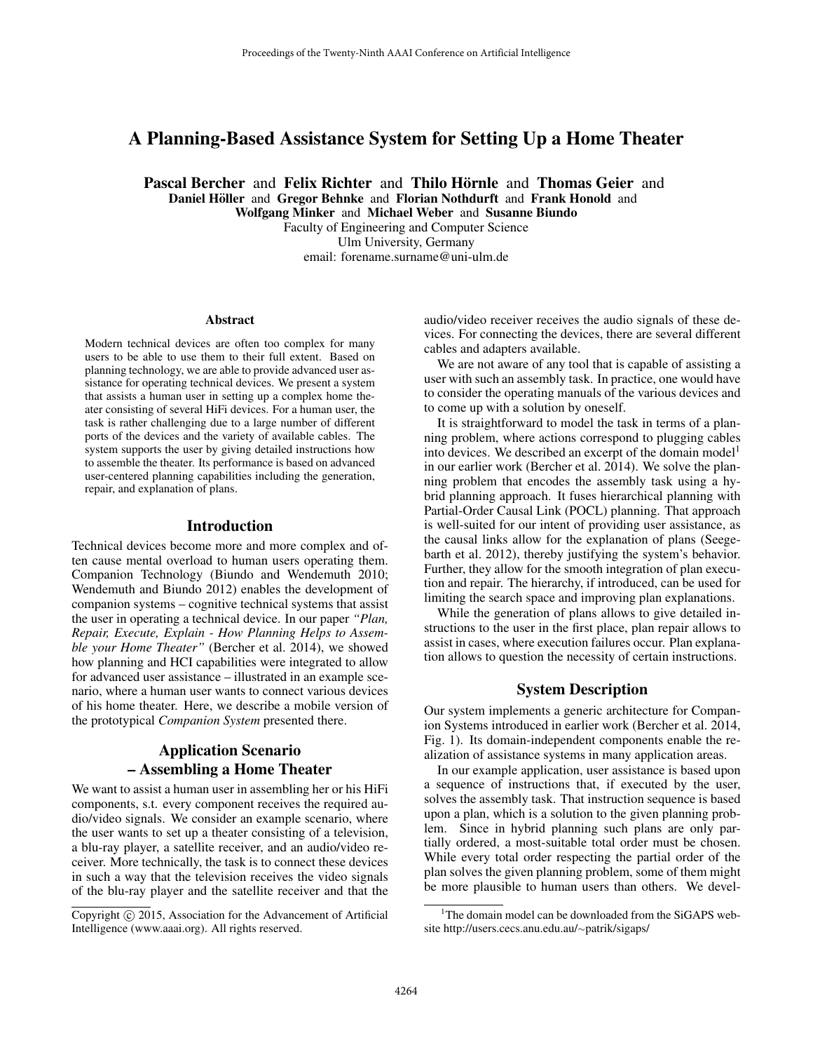# A Planning-Based Assistance System for Setting Up a Home Theater

Pascal Bercher and Felix Richter and Thilo Hörnle and Thomas Geier and Daniel Höller and Gregor Behnke and Florian Nothdurft and Frank Honold and

Wolfgang Minker and Michael Weber and Susanne Biundo Faculty of Engineering and Computer Science Ulm University, Germany

email: forename.surname@uni-ulm.de

#### **Abstract**

Modern technical devices are often too complex for many users to be able to use them to their full extent. Based on planning technology, we are able to provide advanced user assistance for operating technical devices. We present a system that assists a human user in setting up a complex home theater consisting of several HiFi devices. For a human user, the task is rather challenging due to a large number of different ports of the devices and the variety of available cables. The system supports the user by giving detailed instructions how to assemble the theater. Its performance is based on advanced user-centered planning capabilities including the generation, repair, and explanation of plans.

#### Introduction

Technical devices become more and more complex and often cause mental overload to human users operating them. Companion Technology (Biundo and Wendemuth 2010; Wendemuth and Biundo 2012) enables the development of companion systems – cognitive technical systems that assist the user in operating a technical device. In our paper *"Plan, Repair, Execute, Explain - How Planning Helps to Assemble your Home Theater"* (Bercher et al. 2014), we showed how planning and HCI capabilities were integrated to allow for advanced user assistance – illustrated in an example scenario, where a human user wants to connect various devices of his home theater. Here, we describe a mobile version of the prototypical *Companion System* presented there.

## Application Scenario – Assembling a Home Theater

We want to assist a human user in assembling her or his HiFi components, s.t. every component receives the required audio/video signals. We consider an example scenario, where the user wants to set up a theater consisting of a television, a blu-ray player, a satellite receiver, and an audio/video receiver. More technically, the task is to connect these devices in such a way that the television receives the video signals of the blu-ray player and the satellite receiver and that the

audio/video receiver receives the audio signals of these devices. For connecting the devices, there are several different cables and adapters available.

We are not aware of any tool that is capable of assisting a user with such an assembly task. In practice, one would have to consider the operating manuals of the various devices and to come up with a solution by oneself.

It is straightforward to model the task in terms of a planning problem, where actions correspond to plugging cables into devices. We described an excerpt of the domain model<sup>1</sup> in our earlier work (Bercher et al. 2014). We solve the planning problem that encodes the assembly task using a hybrid planning approach. It fuses hierarchical planning with Partial-Order Causal Link (POCL) planning. That approach is well-suited for our intent of providing user assistance, as the causal links allow for the explanation of plans (Seegebarth et al. 2012), thereby justifying the system's behavior. Further, they allow for the smooth integration of plan execution and repair. The hierarchy, if introduced, can be used for limiting the search space and improving plan explanations.

While the generation of plans allows to give detailed instructions to the user in the first place, plan repair allows to assist in cases, where execution failures occur. Plan explanation allows to question the necessity of certain instructions.

## System Description

Our system implements a generic architecture for Companion Systems introduced in earlier work (Bercher et al. 2014, Fig. 1). Its domain-independent components enable the realization of assistance systems in many application areas.

In our example application, user assistance is based upon a sequence of instructions that, if executed by the user, solves the assembly task. That instruction sequence is based upon a plan, which is a solution to the given planning problem. Since in hybrid planning such plans are only partially ordered, a most-suitable total order must be chosen. While every total order respecting the partial order of the plan solves the given planning problem, some of them might be more plausible to human users than others. We devel-

Copyright (c) 2015, Association for the Advancement of Artificial Intelligence (www.aaai.org). All rights reserved.

<sup>&</sup>lt;sup>1</sup>The domain model can be downloaded from the SiGAPS website http://users.cecs.anu.edu.au/∼patrik/sigaps/